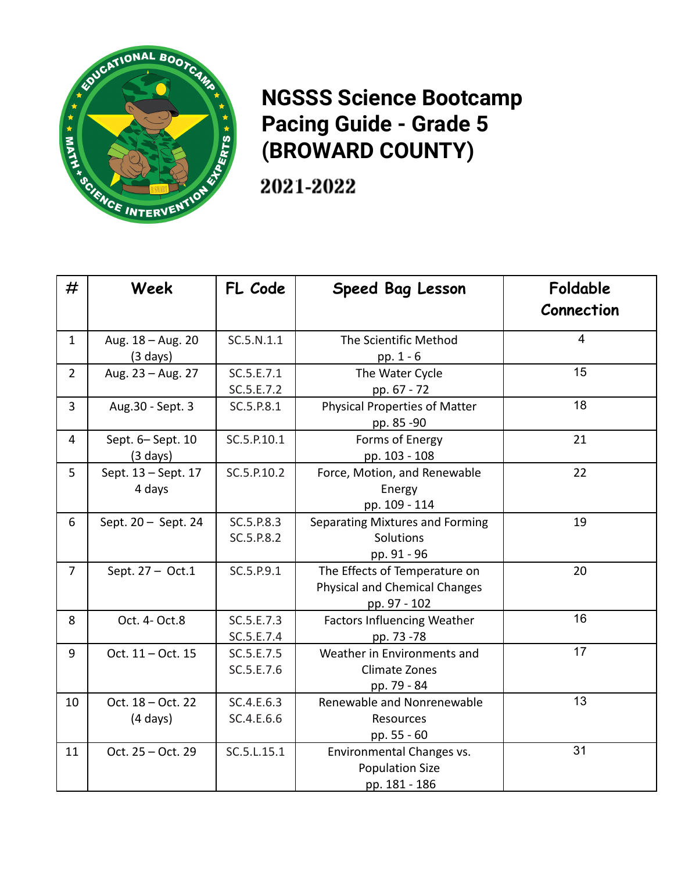

## **NGSSS Science Bootcamp Pacing Guide - Grade 5 (BROWARD COUNTY)**

2021-2022

| #              | Week                                    | FL Code                  | <b>Speed Bag Lesson</b>                                                               | Foldable<br>Connection |
|----------------|-----------------------------------------|--------------------------|---------------------------------------------------------------------------------------|------------------------|
| $\mathbf{1}$   | Aug. 18 - Aug. 20<br>$(3 \text{ days})$ | SC.5.N.1.1               | The Scientific Method<br>pp. 1 - 6                                                    | $\overline{4}$         |
| $\overline{2}$ | Aug. 23 - Aug. 27                       | SC.5.E.7.1<br>SC.5.E.7.2 | The Water Cycle<br>pp. 67 - 72                                                        | 15                     |
| 3              | Aug.30 - Sept. 3                        | SC.5.P.8.1               | <b>Physical Properties of Matter</b><br>pp. 85 -90                                    | 18                     |
| 4              | Sept. 6-Sept. 10<br>$(3 \text{ days})$  | SC.5.P.10.1              | Forms of Energy<br>pp. 103 - 108                                                      | 21                     |
| 5              | Sept. 13 - Sept. 17<br>4 days           | SC.5.P.10.2              | Force, Motion, and Renewable<br>Energy<br>pp. 109 - 114                               | 22                     |
| 6              | Sept. 20 - Sept. 24                     | SC.5.P.8.3<br>SC.5.P.8.2 | Separating Mixtures and Forming<br><b>Solutions</b><br>pp. 91 - 96                    | 19                     |
| $\overline{7}$ | Sept. 27 - Oct.1                        | SC.5.P.9.1               | The Effects of Temperature on<br><b>Physical and Chemical Changes</b><br>pp. 97 - 102 | 20                     |
| 8              | Oct. 4- Oct.8                           | SC.5.E.7.3<br>SC.5.E.7.4 | <b>Factors Influencing Weather</b><br>pp. 73 -78                                      | 16                     |
| 9              | Oct. 11 - Oct. 15                       | SC.5.E.7.5<br>SC.5.E.7.6 | Weather in Environments and<br><b>Climate Zones</b><br>pp. 79 - 84                    | 17                     |
| 10             | Oct. 18 - Oct. 22<br>$(4 \text{ days})$ | SC.4.E.6.3<br>SC.4.E.6.6 | Renewable and Nonrenewable<br>Resources<br>pp. 55 - 60                                | 13                     |
| 11             | Oct. 25 - Oct. 29                       | SC.5.L.15.1              | Environmental Changes vs.<br><b>Population Size</b><br>pp. 181 - 186                  | 31                     |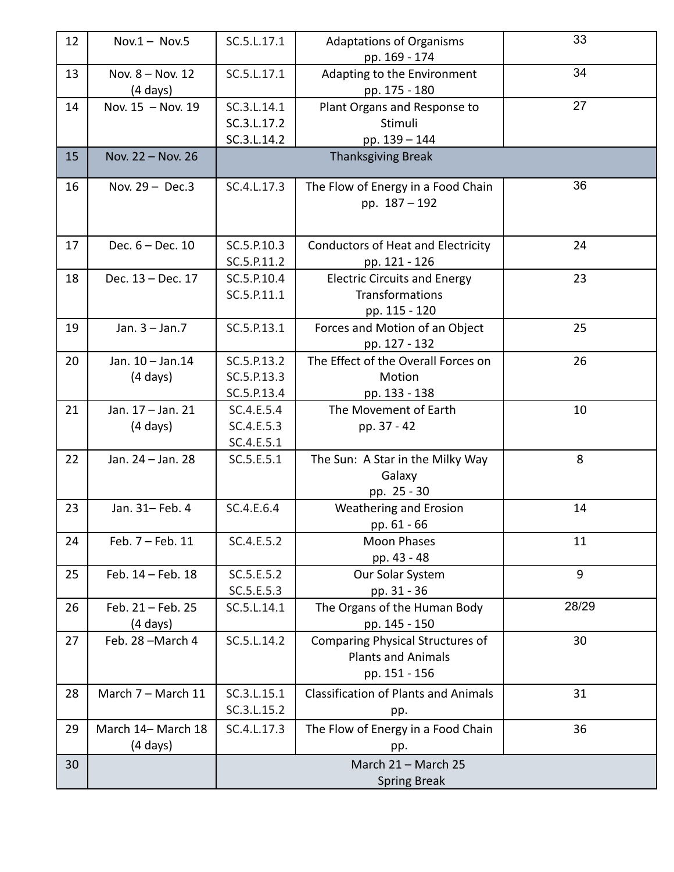| 12 | $Nov.1 - Nov.5$                          | SC.5.L.17.1                                | <b>Adaptations of Organisms</b><br>pp. 169 - 174                                      | 33    |
|----|------------------------------------------|--------------------------------------------|---------------------------------------------------------------------------------------|-------|
| 13 | Nov. 8 - Nov. 12<br>(4 days)             | SC.5.L.17.1                                | Adapting to the Environment<br>pp. 175 - 180                                          | 34    |
| 14 | Nov. 15 - Nov. 19                        | SC.3.L.14.1<br>SC.3.L.17.2<br>SC.3.L.14.2  | Plant Organs and Response to<br>Stimuli<br>pp. 139 - 144                              | 27    |
| 15 | Nov. 22 - Nov. 26                        |                                            | <b>Thanksgiving Break</b>                                                             |       |
| 16 | Nov. $29 - Dec.3$                        | SC.4.L.17.3                                | The Flow of Energy in a Food Chain<br>pp. 187 - 192                                   | 36    |
| 17 | Dec. 6 - Dec. 10                         | SC.5.P.10.3<br>SC.5.P.11.2                 | <b>Conductors of Heat and Electricity</b><br>pp. 121 - 126                            | 24    |
| 18 | Dec. 13 - Dec. 17                        | SC.5.P.10.4<br>SC.5.P.11.1                 | <b>Electric Circuits and Energy</b><br>Transformations<br>pp. 115 - 120               | 23    |
| 19 | Jan. $3 -$ Jan. $7$                      | SC.5.P.13.1                                | Forces and Motion of an Object<br>pp. 127 - 132                                       | 25    |
| 20 | Jan. 10 - Jan. 14<br>$(4 \text{ days})$  | SC.5.P.13.2<br>SC.5.P.13.3<br>SC.5.P.13.4  | The Effect of the Overall Forces on<br>Motion<br>pp. 133 - 138                        | 26    |
| 21 | Jan. 17 - Jan. 21<br>$(4 \text{ days})$  | SC.4.E.5.4<br>SC.4.E.5.3<br>SC.4.E.5.1     | The Movement of Earth<br>pp. 37 - 42                                                  | 10    |
| 22 | Jan. 24 - Jan. 28                        | SC.5.E.5.1                                 | The Sun: A Star in the Milky Way<br>Galaxy<br>pp. 25 - 30                             | 8     |
| 23 | Jan. 31- Feb. 4                          | SC.4.E.6.4                                 | Weathering and Erosion<br>pp. 61 - 66                                                 | 14    |
| 24 | Feb. 7 - Feb. 11                         | SC.4.E.5.2                                 | <b>Moon Phases</b><br>pp. 43 - 48                                                     | 11    |
| 25 | Feb. 14 - Feb. 18                        | SC.5.E.5.2<br>SC.5.E.5.3                   | Our Solar System<br>pp. 31 - 36                                                       | 9     |
| 26 | Feb. 21 - Feb. 25<br>(4 days)            | SC.5.L.14.1                                | The Organs of the Human Body<br>pp. 145 - 150                                         | 28/29 |
| 27 | Feb. 28-March 4                          | SC.5.L.14.2                                | <b>Comparing Physical Structures of</b><br><b>Plants and Animals</b><br>pp. 151 - 156 | 30    |
| 28 | March 7 - March 11                       | SC.3.L.15.1<br>SC.3.L.15.2                 | <b>Classification of Plants and Animals</b><br>pp.                                    | 31    |
| 29 | March 14- March 18<br>$(4 \text{ days})$ | SC.4.L.17.3                                | The Flow of Energy in a Food Chain<br>pp.                                             | 36    |
| 30 |                                          | March 21 - March 25<br><b>Spring Break</b> |                                                                                       |       |